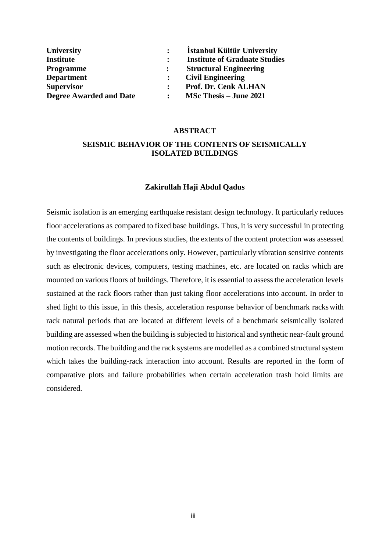| <b>University</b>              |                | <b>Istanbul Kültür University</b>    |
|--------------------------------|----------------|--------------------------------------|
| <b>Institute</b>               |                | <b>Institute of Graduate Studies</b> |
| <b>Programme</b>               | $\ddot{\cdot}$ | <b>Structural Engineering</b>        |
| <b>Department</b>              |                | <b>Civil Engineering</b>             |
| <b>Supervisor</b>              |                | Prof. Dr. Cenk ALHAN                 |
| <b>Degree Awarded and Date</b> |                | <b>MSc Thesis – June 2021</b>        |

#### **ABSTRACT**

## **SEISMIC BEHAVIOR OF THE CONTENTS OF SEISMICALLY ISOLATED BUILDINGS**

### **Zakirullah Haji Abdul Qadus**

Seismic isolation is an emerging earthquake resistant design technology. It particularly reduces floor accelerations as compared to fixed base buildings. Thus, it is very successful in protecting the contents of buildings. In previous studies, the extents of the content protection was assessed by investigating the floor accelerations only. However, particularly vibration sensitive contents such as electronic devices, computers, testing machines, etc. are located on racks which are mounted on various floors of buildings. Therefore, it is essential to assess the acceleration levels sustained at the rack floors rather than just taking floor accelerations into account. In order to shed light to this issue, in this thesis, acceleration response behavior of benchmark rackswith rack natural periods that are located at different levels of a benchmark seismically isolated building are assessed when the building is subjected to historical and synthetic near-fault ground motion records. The building and the rack systems are modelled as a combined structural system which takes the building-rack interaction into account. Results are reported in the form of comparative plots and failure probabilities when certain acceleration trash hold limits are considered.